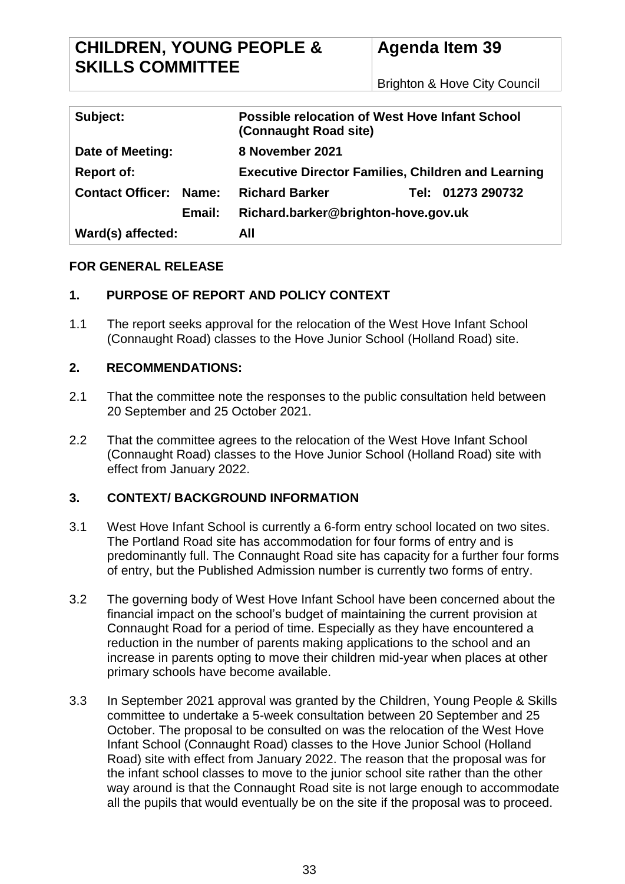# **CHILDREN, YOUNG PEOPLE & SKILLS COMMITTEE**

# **Agenda Item 39**

Brighton & Hove City Council

| Subject:                         | <b>Possible relocation of West Hove Infant School</b><br>(Connaught Road site) |  |
|----------------------------------|--------------------------------------------------------------------------------|--|
| Date of Meeting:                 | 8 November 2021                                                                |  |
| <b>Report of:</b>                | <b>Executive Director Families, Children and Learning</b>                      |  |
| <b>Contact Officer:</b><br>Name: | Tel: 01273 290732<br><b>Richard Barker</b>                                     |  |
| Email:                           | Richard.barker@brighton-hove.gov.uk                                            |  |
| Ward(s) affected:                | All                                                                            |  |

## **FOR GENERAL RELEASE**

## **1. PURPOSE OF REPORT AND POLICY CONTEXT**

1.1 The report seeks approval for the relocation of the West Hove Infant School (Connaught Road) classes to the Hove Junior School (Holland Road) site.

## **2. RECOMMENDATIONS:**

- 2.1 That the committee note the responses to the public consultation held between 20 September and 25 October 2021.
- 2.2 That the committee agrees to the relocation of the West Hove Infant School (Connaught Road) classes to the Hove Junior School (Holland Road) site with effect from January 2022.

## **3. CONTEXT/ BACKGROUND INFORMATION**

- 3.1 West Hove Infant School is currently a 6-form entry school located on two sites. The Portland Road site has accommodation for four forms of entry and is predominantly full. The Connaught Road site has capacity for a further four forms of entry, but the Published Admission number is currently two forms of entry.
- 3.2 The governing body of West Hove Infant School have been concerned about the financial impact on the school's budget of maintaining the current provision at Connaught Road for a period of time. Especially as they have encountered a reduction in the number of parents making applications to the school and an increase in parents opting to move their children mid-year when places at other primary schools have become available.
- 3.3 In September 2021 approval was granted by the Children, Young People & Skills committee to undertake a 5-week consultation between 20 September and 25 October. The proposal to be consulted on was the relocation of the West Hove Infant School (Connaught Road) classes to the Hove Junior School (Holland Road) site with effect from January 2022. The reason that the proposal was for the infant school classes to move to the junior school site rather than the other way around is that the Connaught Road site is not large enough to accommodate all the pupils that would eventually be on the site if the proposal was to proceed.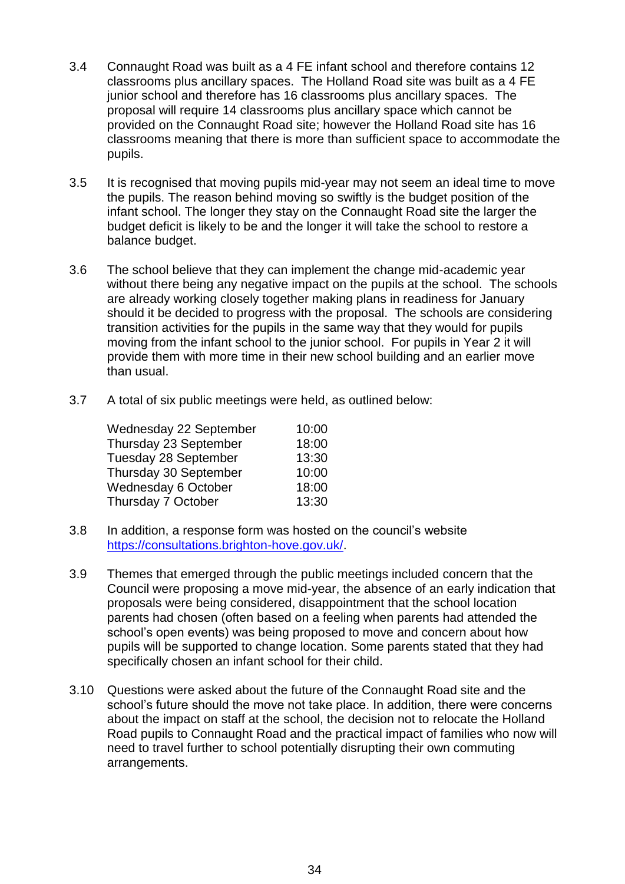- 3.4 Connaught Road was built as a 4 FE infant school and therefore contains 12 classrooms plus ancillary spaces. The Holland Road site was built as a 4 FE junior school and therefore has 16 classrooms plus ancillary spaces. The proposal will require 14 classrooms plus ancillary space which cannot be provided on the Connaught Road site; however the Holland Road site has 16 classrooms meaning that there is more than sufficient space to accommodate the pupils.
- 3.5 It is recognised that moving pupils mid-year may not seem an ideal time to move the pupils. The reason behind moving so swiftly is the budget position of the infant school. The longer they stay on the Connaught Road site the larger the budget deficit is likely to be and the longer it will take the school to restore a balance budget.
- 3.6 The school believe that they can implement the change mid-academic year without there being any negative impact on the pupils at the school. The schools are already working closely together making plans in readiness for January should it be decided to progress with the proposal. The schools are considering transition activities for the pupils in the same way that they would for pupils moving from the infant school to the junior school. For pupils in Year 2 it will provide them with more time in their new school building and an earlier move than usual.
- 3.7 A total of six public meetings were held, as outlined below:

| Wednesday 22 September     | 10:00 |
|----------------------------|-------|
| Thursday 23 September      | 18:00 |
| Tuesday 28 September       | 13:30 |
| Thursday 30 September      | 10:00 |
| <b>Wednesday 6 October</b> | 18:00 |
| Thursday 7 October         | 13:30 |

- 3.8 In addition, a response form was hosted on the council's website [https://consultations.brighton-hove.gov.uk/.](https://consultations.brighton-hove.gov.uk/)
- 3.9 Themes that emerged through the public meetings included concern that the Council were proposing a move mid-year, the absence of an early indication that proposals were being considered, disappointment that the school location parents had chosen (often based on a feeling when parents had attended the school's open events) was being proposed to move and concern about how pupils will be supported to change location. Some parents stated that they had specifically chosen an infant school for their child.
- 3.10 Questions were asked about the future of the Connaught Road site and the school's future should the move not take place. In addition, there were concerns about the impact on staff at the school, the decision not to relocate the Holland Road pupils to Connaught Road and the practical impact of families who now will need to travel further to school potentially disrupting their own commuting arrangements.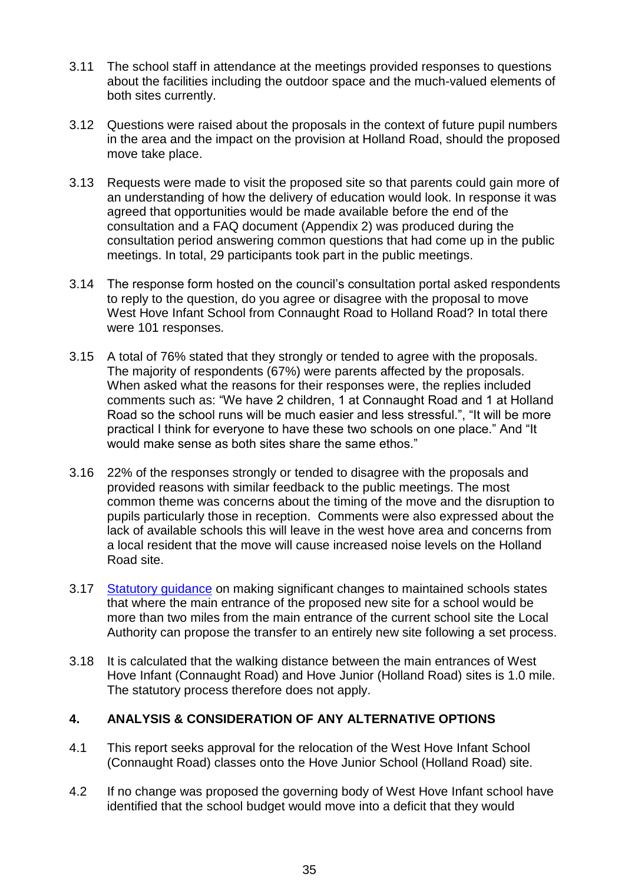- 3.11 The school staff in attendance at the meetings provided responses to questions about the facilities including the outdoor space and the much-valued elements of both sites currently.
- 3.12 Questions were raised about the proposals in the context of future pupil numbers in the area and the impact on the provision at Holland Road, should the proposed move take place.
- 3.13 Requests were made to visit the proposed site so that parents could gain more of an understanding of how the delivery of education would look. In response it was agreed that opportunities would be made available before the end of the consultation and a FAQ document (Appendix 2) was produced during the consultation period answering common questions that had come up in the public meetings. In total, 29 participants took part in the public meetings.
- 3.14 The response form hosted on the council's consultation portal asked respondents to reply to the question, do you agree or disagree with the proposal to move West Hove Infant School from Connaught Road to Holland Road? In total there were 101 responses.
- 3.15 A total of 76% stated that they strongly or tended to agree with the proposals. The majority of respondents (67%) were parents affected by the proposals. When asked what the reasons for their responses were, the replies included comments such as: "We have 2 children, 1 at Connaught Road and 1 at Holland Road so the school runs will be much easier and less stressful.", "It will be more practical I think for everyone to have these two schools on one place." And "It would make sense as both sites share the same ethos."
- 3.16 22% of the responses strongly or tended to disagree with the proposals and provided reasons with similar feedback to the public meetings. The most common theme was concerns about the timing of the move and the disruption to pupils particularly those in reception. Comments were also expressed about the lack of available schools this will leave in the west hove area and concerns from a local resident that the move will cause increased noise levels on the Holland Road site.
- 3.17 [Statutory guidance](https://assets.publishing.service.gov.uk/government/uploads/system/uploads/attachment_data/file/756572/Maintained_schools_prescribed_alterations_guidance.pdf) on making significant changes to maintained schools states that where the main entrance of the proposed new site for a school would be more than two miles from the main entrance of the current school site the Local Authority can propose the transfer to an entirely new site following a set process.
- 3.18 It is calculated that the walking distance between the main entrances of West Hove Infant (Connaught Road) and Hove Junior (Holland Road) sites is 1.0 mile. The statutory process therefore does not apply.

## **4. ANALYSIS & CONSIDERATION OF ANY ALTERNATIVE OPTIONS**

- 4.1 This report seeks approval for the relocation of the West Hove Infant School (Connaught Road) classes onto the Hove Junior School (Holland Road) site.
- 4.2 If no change was proposed the governing body of West Hove Infant school have identified that the school budget would move into a deficit that they would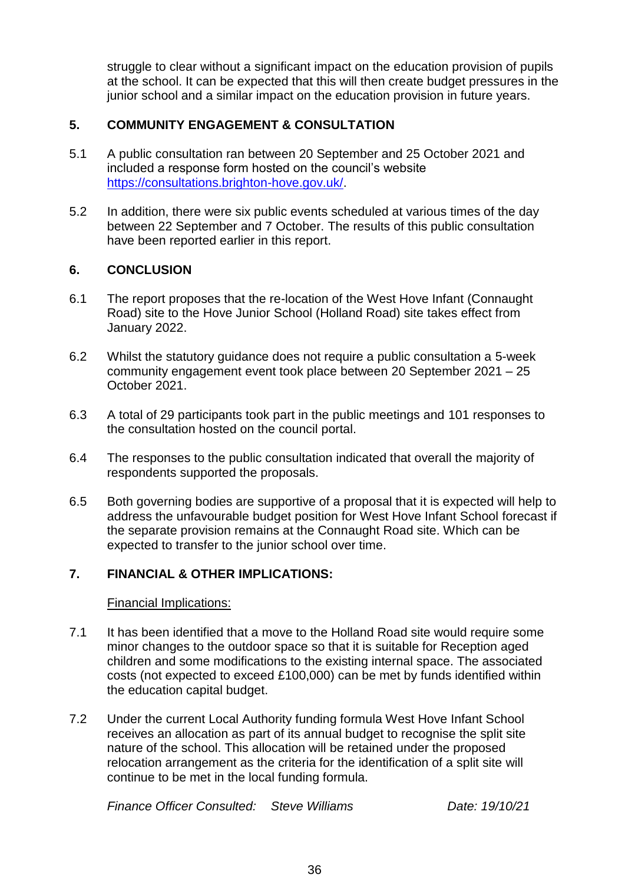struggle to clear without a significant impact on the education provision of pupils at the school. It can be expected that this will then create budget pressures in the junior school and a similar impact on the education provision in future years.

## **5. COMMUNITY ENGAGEMENT & CONSULTATION**

- 5.1 A public consultation ran between 20 September and 25 October 2021 and included a response form hosted on the council's website [https://consultations.brighton-hove.gov.uk/.](https://consultations.brighton-hove.gov.uk/)
- 5.2 In addition, there were six public events scheduled at various times of the day between 22 September and 7 October. The results of this public consultation have been reported earlier in this report.

## **6. CONCLUSION**

- 6.1 The report proposes that the re-location of the West Hove Infant (Connaught Road) site to the Hove Junior School (Holland Road) site takes effect from January 2022.
- 6.2 Whilst the statutory guidance does not require a public consultation a 5-week community engagement event took place between 20 September 2021 – 25 October 2021.
- 6.3 A total of 29 participants took part in the public meetings and 101 responses to the consultation hosted on the council portal.
- 6.4 The responses to the public consultation indicated that overall the majority of respondents supported the proposals.
- 6.5 Both governing bodies are supportive of a proposal that it is expected will help to address the unfavourable budget position for West Hove Infant School forecast if the separate provision remains at the Connaught Road site. Which can be expected to transfer to the junior school over time.

## **7. FINANCIAL & OTHER IMPLICATIONS:**

Financial Implications:

- 7.1 It has been identified that a move to the Holland Road site would require some minor changes to the outdoor space so that it is suitable for Reception aged children and some modifications to the existing internal space. The associated costs (not expected to exceed £100,000) can be met by funds identified within the education capital budget.
- 7.2 Under the current Local Authority funding formula West Hove Infant School receives an allocation as part of its annual budget to recognise the split site nature of the school. This allocation will be retained under the proposed relocation arrangement as the criteria for the identification of a split site will continue to be met in the local funding formula.

*Finance Officer Consulted: Steve Williams Date: 19/10/21*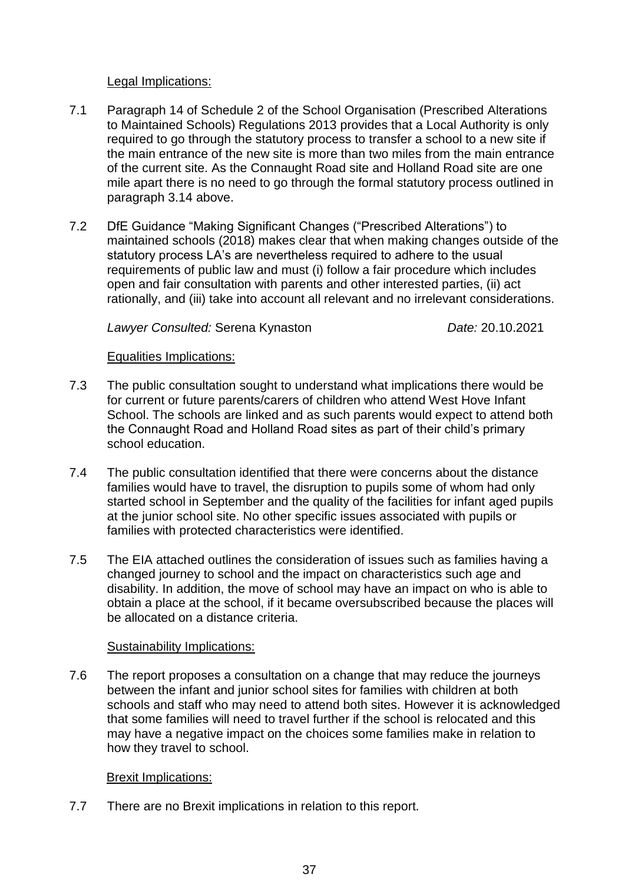#### Legal Implications:

- 7.1 Paragraph 14 of Schedule 2 of the School Organisation (Prescribed Alterations to Maintained Schools) Regulations 2013 provides that a Local Authority is only required to go through the statutory process to transfer a school to a new site if the main entrance of the new site is more than two miles from the main entrance of the current site. As the Connaught Road site and Holland Road site are one mile apart there is no need to go through the formal statutory process outlined in paragraph 3.14 above.
- 7.2 DfE Guidance "Making Significant Changes ("Prescribed Alterations") to maintained schools (2018) makes clear that when making changes outside of the statutory process LA's are nevertheless required to adhere to the usual requirements of public law and must (i) follow a fair procedure which includes open and fair consultation with parents and other interested parties, (ii) act rationally, and (iii) take into account all relevant and no irrelevant considerations.

*Lawyer Consulted:* Serena Kynaston *Date:* 20.10.2021

#### Equalities Implications:

- 7.3 The public consultation sought to understand what implications there would be for current or future parents/carers of children who attend West Hove Infant School. The schools are linked and as such parents would expect to attend both the Connaught Road and Holland Road sites as part of their child's primary school education.
- 7.4 The public consultation identified that there were concerns about the distance families would have to travel, the disruption to pupils some of whom had only started school in September and the quality of the facilities for infant aged pupils at the junior school site. No other specific issues associated with pupils or families with protected characteristics were identified.
- 7.5 The EIA attached outlines the consideration of issues such as families having a changed journey to school and the impact on characteristics such age and disability. In addition, the move of school may have an impact on who is able to obtain a place at the school, if it became oversubscribed because the places will be allocated on a distance criteria.

#### Sustainability Implications:

7.6 The report proposes a consultation on a change that may reduce the journeys between the infant and junior school sites for families with children at both schools and staff who may need to attend both sites. However it is acknowledged that some families will need to travel further if the school is relocated and this may have a negative impact on the choices some families make in relation to how they travel to school.

## Brexit Implications:

7.7 There are no Brexit implications in relation to this report.